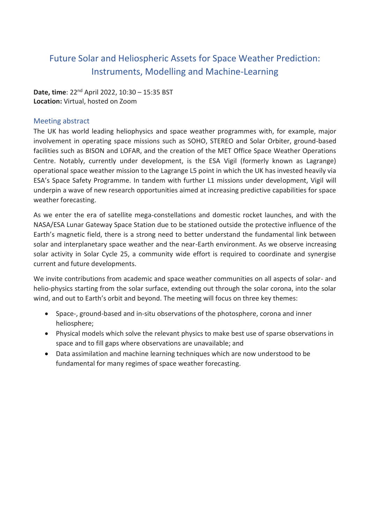# Future Solar and Heliospheric Assets for Space Weather Prediction: Instruments, Modelling and Machine-Learning

**Date, time**: 22nd April 2022, 10:30 – 15:35 BST **Location:** Virtual, hosted on Zoom

# Meeting abstract

The UK has world leading heliophysics and space weather programmes with, for example, major involvement in operating space missions such as SOHO, STEREO and Solar Orbiter, ground-based facilities such as BISON and LOFAR, and the creation of the MET Office Space Weather Operations Centre. Notably, currently under development, is the ESA Vigil (formerly known as Lagrange) operational space weather mission to the Lagrange L5 point in which the UK has invested heavily via ESA's Space Safety Programme. In tandem with further L1 missions under development, Vigil will underpin a wave of new research opportunities aimed at increasing predictive capabilities for space weather forecasting.

As we enter the era of satellite mega-constellations and domestic rocket launches, and with the NASA/ESA Lunar Gateway Space Station due to be stationed outside the protective influence of the Earth's magnetic field, there is a strong need to better understand the fundamental link between solar and interplanetary space weather and the near-Earth environment. As we observe increasing solar activity in Solar Cycle 25, a community wide effort is required to coordinate and synergise current and future developments.

We invite contributions from academic and space weather communities on all aspects of solar- and helio-physics starting from the solar surface, extending out through the solar corona, into the solar wind, and out to Earth's orbit and beyond. The meeting will focus on three key themes:

- Space-, ground-based and in-situ observations of the photosphere, corona and inner heliosphere;
- Physical models which solve the relevant physics to make best use of sparse observations in space and to fill gaps where observations are unavailable; and
- Data assimilation and machine learning techniques which are now understood to be fundamental for many regimes of space weather forecasting.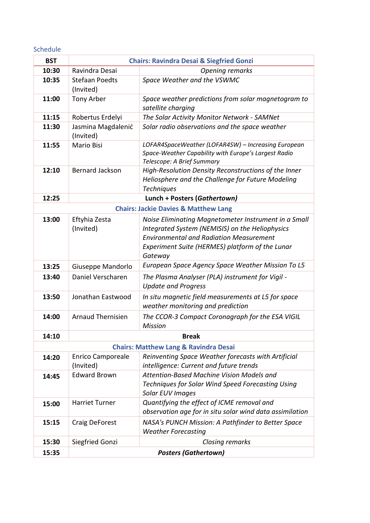Schedule

| <b>BST</b>                                       | <b>Chairs: Ravindra Desai &amp; Siegfried Gonzi</b> |                                                                                                                                                           |
|--------------------------------------------------|-----------------------------------------------------|-----------------------------------------------------------------------------------------------------------------------------------------------------------|
| 10:30                                            | Ravindra Desai                                      | <b>Opening remarks</b>                                                                                                                                    |
| 10:35                                            | <b>Stefaan Poedts</b><br>(Invited)                  | Space Weather and the VSWMC                                                                                                                               |
| 11:00                                            | Tony Arber                                          | Space weather predictions from solar magnetogram to<br>satellite charging                                                                                 |
| 11:15                                            | Robertus Erdelyi                                    | The Solar Activity Monitor Network - SAMNet                                                                                                               |
| 11:30                                            | Jasmina Magdalenić<br>(Invited)                     | Solar radio observations and the space weather                                                                                                            |
| 11:55                                            | <b>Mario Bisi</b>                                   | LOFAR4SpaceWeather (LOFAR4SW) - Increasing European<br>Space-Weather Capability with Europe's Largest Radio<br>Telescope: A Brief Summary                 |
| 12:10                                            | <b>Bernard Jackson</b>                              | High-Resolution Density Reconstructions of the Inner<br>Heliosphere and the Challenge for Future Modeling<br><b>Techniques</b>                            |
| 12:25                                            |                                                     | Lunch + Posters (Gathertown)                                                                                                                              |
| <b>Chairs: Jackie Davies &amp; Matthew Lang</b>  |                                                     |                                                                                                                                                           |
| 13:00                                            | Eftyhia Zesta<br>(Invited)                          | Noise Eliminating Magnetometer Instrument in a Small<br>Integrated System (NEMISIS) on the Heliophysics<br><b>Environmental and Radiation Measurement</b> |
|                                                  |                                                     | Experiment Suite (HERMES) platform of the Lunar<br>Gateway                                                                                                |
| 13:25                                            | Giuseppe Mandorlo                                   | European Space Agency Space Weather Mission To L5                                                                                                         |
| 13:40                                            | Daniel Verscharen                                   | The Plasma Analyser (PLA) instrument for Vigil -<br><b>Update and Progress</b>                                                                            |
| 13:50                                            | Jonathan Eastwood                                   | In situ magnetic field measurements at L5 for space<br>weather monitoring and prediction                                                                  |
| 14:00                                            | <b>Arnaud Thernisien</b>                            | The CCOR-3 Compact Coronagraph for the ESA VIGIL<br><b>Mission</b>                                                                                        |
| 14:10                                            |                                                     | <b>Break</b>                                                                                                                                              |
| <b>Chairs: Matthew Lang &amp; Ravindra Desai</b> |                                                     |                                                                                                                                                           |
| 14:20                                            | <b>Enrico Camporeale</b>                            | Reinventing Space Weather forecasts with Artificial                                                                                                       |
|                                                  | (Invited)                                           | intelligence: Current and future trends                                                                                                                   |
| 14:45                                            | <b>Edward Brown</b>                                 | Attention-Based Machine Vision Models and                                                                                                                 |
|                                                  |                                                     | Techniques for Solar Wind Speed Forecasting Using<br>Solar EUV Images                                                                                     |
| 15:00                                            | <b>Harriet Turner</b>                               | Quantifying the effect of ICME removal and                                                                                                                |
|                                                  |                                                     | observation age for in situ solar wind data assimilation                                                                                                  |
| 15:15                                            | Craig DeForest                                      | NASA's PUNCH Mission: A Pathfinder to Better Space<br><b>Weather Forecasting</b>                                                                          |
| 15:30                                            | Siegfried Gonzi                                     | Closing remarks                                                                                                                                           |
| 15:35                                            | <b>Posters (Gathertown)</b>                         |                                                                                                                                                           |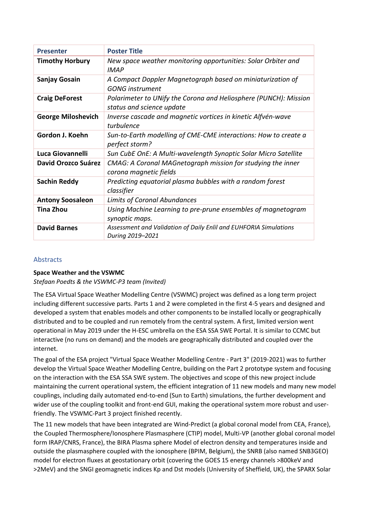| <b>Presenter</b>           | <b>Poster Title</b>                                                                           |
|----------------------------|-----------------------------------------------------------------------------------------------|
| <b>Timothy Horbury</b>     | New space weather monitoring opportunities: Solar Orbiter and<br><b>IMAP</b>                  |
| <b>Sanjay Gosain</b>       | A Compact Doppler Magnetograph based on miniaturization of<br><b>GONG</b> instrument          |
| <b>Craig DeForest</b>      | Polarimeter to UNify the Corona and Heliosphere (PUNCH): Mission<br>status and science update |
| <b>George Miloshevich</b>  | Inverse cascade and magnetic vortices in kinetic Alfvén-wave<br>turbulence                    |
| Gordon J. Koehn            | Sun-to-Earth modelling of CME-CME interactions: How to create a<br>perfect storm?             |
| Luca Giovannelli           | Sun CubE OnE: A Multi-wavelength Synoptic Solar Micro Satellite                               |
| <b>David Orozco Suárez</b> | CMAG: A Coronal MAGnetograph mission for studying the inner<br>corona magnetic fields         |
| <b>Sachin Reddy</b>        | Predicting equatorial plasma bubbles with a random forest<br>classifier                       |
| <b>Antony Soosaleon</b>    | <b>Limits of Coronal Abundances</b>                                                           |
| <b>Tina Zhou</b>           | Using Machine Learning to pre-prune ensembles of magnetogram<br>synoptic maps.                |
| <b>David Barnes</b>        | Assessment and Validation of Daily Enlil and EUHFORIA Simulations<br>During 2019-2021         |

## Abstracts

## **Space Weather and the VSWMC**

*Stefaan Poedts & the VSWMC-P3 team (Invited)*

The ESA Virtual Space Weather Modelling Centre (VSWMC) project was defined as a long term project including different successive parts. Parts 1 and 2 were completed in the first 4-5 years and designed and developed a system that enables models and other components to be installed locally or geographically distributed and to be coupled and run remotely from the central system. A first, limited version went operational in May 2019 under the H-ESC umbrella on the ESA SSA SWE Portal. It is similar to CCMC but interactive (no runs on demand) and the models are geographically distributed and coupled over the internet.

The goal of the ESA project "Virtual Space Weather Modelling Centre - Part 3" (2019-2021) was to further develop the Virtual Space Weather Modelling Centre, building on the Part 2 prototype system and focusing on the interaction with the ESA SSA SWE system. The objectives and scope of this new project include maintaining the current operational system, the efficient integration of 11 new models and many new model couplings, including daily automated end-to-end (Sun to Earth) simulations, the further development and wider use of the coupling toolkit and front-end GUI, making the operational system more robust and userfriendly. The VSWMC-Part 3 project finished recently.

The 11 new models that have been integrated are Wind-Predict (a global coronal model from CEA, France), the Coupled Thermosphere/Ionosphere Plasmasphere (CTIP) model, Multi-VP (another global coronal model form IRAP/CNRS, France), the BIRA Plasma sphere Model of electron density and temperatures inside and outside the plasmasphere coupled with the ionosphere (BPIM, Belgium), the SNRB (also named SNB3GEO) model for electron fluxes at geostationary orbit (covering the GOES 15 energy channels >800keV and >2MeV) and the SNGI geomagnetic indices Kp and Dst models (University of Sheffield, UK), the SPARX Solar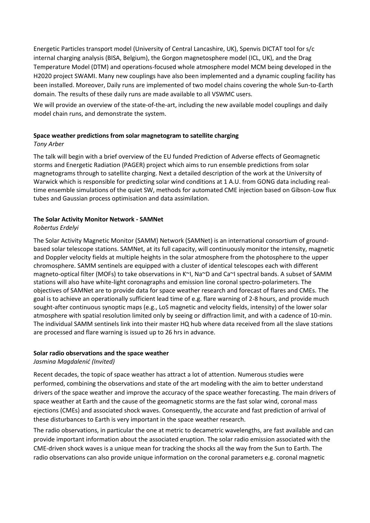Energetic Particles transport model (University of Central Lancashire, UK), Spenvis DICTAT tool for s/c internal charging analysis (BISA, Belgium), the Gorgon magnetosphere model (ICL, UK), and the Drag Temperature Model (DTM) and operations-focused whole atmosphere model MCM being developed in the H2020 project SWAMI. Many new couplings have also been implemented and a dynamic coupling facility has been installed. Moreover, Daily runs are implemented of two model chains covering the whole Sun-to-Earth domain. The results of these daily runs are made available to all VSWMC users.

We will provide an overview of the state-of-the-art, including the new available model couplings and daily model chain runs, and demonstrate the system.

#### **Space weather predictions from solar magnetogram to satellite charging**

#### *Tony Arber*

The talk will begin with a brief overview of the EU funded Prediction of Adverse effects of Geomagnetic storms and Energetic Radiation (PAGER) project which aims to run ensemble predictions from solar magnetograms through to satellite charging. Next a detailed description of the work at the University of Warwick which is responsible for predicting solar wind conditions at 1 A.U. from GONG data including realtime ensemble simulations of the quiet SW, methods for automated CME injection based on Gibson-Low flux tubes and Gaussian process optimisation and data assimilation.

## **The Solar Activity Monitor Network - SAMNet**

#### *Robertus Erdelyi*

The Solar Activity Magnetic Monitor (SAMM) Network (SAMNet) is an international consortium of groundbased solar telescope stations. SAMNet, at its full capacity, will continuously monitor the intensity, magnetic and Doppler velocity fields at multiple heights in the solar atmosphere from the photosphere to the upper chromosphere. SAMM sentinels are equipped with a cluster of identical telescopes each with different magneto-optical filter (MOFs) to take observations in K~I, Na~D and Ca~I spectral bands. A subset of SAMM stations will also have white-light coronagraphs and emission line coronal spectro-polarimeters. The objectives of SAMNet are to provide data for space weather research and forecast of flares and CMEs. The goal is to achieve an operationally sufficient lead time of e.g. flare warning of 2-8 hours, and provide much sought-after continuous synoptic maps (e.g., LoS magnetic and velocity fields, intensity) of the lower solar atmosphere with spatial resolution limited only by seeing or diffraction limit, and with a cadence of 10-min. The individual SAMM sentinels link into their master HQ hub where data received from all the slave stations are processed and flare warning is issued up to 26 hrs in advance.

#### **Solar radio observations and the space weather**

#### *Jasmina Magdalenić (Invited)*

Recent decades, the topic of space weather has attract a lot of attention. Numerous studies were performed, combining the observations and state of the art modeling with the aim to better understand drivers of the space weather and improve the accuracy of the space weather forecasting. The main drivers of space weather at Earth and the cause of the geomagnetic storms are the fast solar wind, coronal mass ejections (CMEs) and associated shock waves. Consequently, the accurate and fast prediction of arrival of these disturbances to Earth is very important in the space weather research.

The radio observations, in particular the one at metric to decametric wavelengths, are fast available and can provide important information about the associated eruption. The solar radio emission associated with the CME-driven shock waves is a unique mean for tracking the shocks all the way from the Sun to Earth. The radio observations can also provide unique information on the coronal parameters e.g. coronal magnetic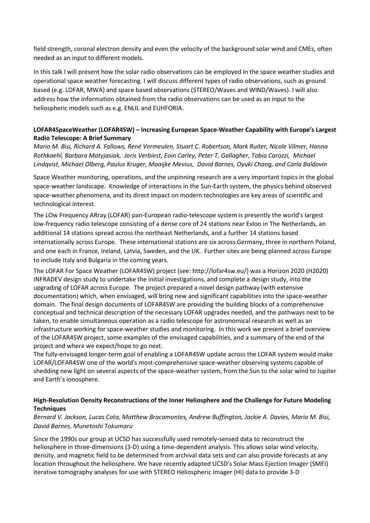field strength, coronal electron density and even the velocity of the background solar wind and CMEs, often needed as an input to different models.

In this talk I will present how the solar radio observations can be employed in the space weather studies and operational space weather forecasting. I will discuss different types of radio observations, such as ground based (e.g. LOFAR, MWA) and space based observations (STEREO/Waves and WIND/Waves). I will also address how the information obtained from the radio observations can be used as an input to the heliospheric models such as e.g. ENLIL and EUHFORIA.

## **LOFAR4SpaceWeather (LOFAR4SW) – Increasing European Space-Weather Capability with Europe's Largest Radio Telescope: A Brief Summary**

*Mario M. Bisi, Richard A. Fallows, René Vermeulen, Stuart C. Robertson, Mark Ruiter, Nicole Vilmer, Hanna Rothkaehl, Barbara Matyjasiak, Joris Verbiest, Eoin Carley, Peter T. Gallagher, Tobia Carozzi, Michael Lindqvist, Michael Olberg, Paulus Kruger, Maaijke Mevius, David Barnes, Oyuki Chang, and Carla Baldovin*

Space Weather monitoring, operations, and the unpinning research are a very important topics in the global space-weather landscape. Knowledge of interactions in the Sun-Earth system, the physics behind observed space-weather phenomena, and its direct impact on modern technologies are key areas of scientific and technological interest.

The LOw Frequency ARray (LOFAR) pan-European radio-telescope system is presently the world's largest low-frequency radio telescope consisting of a dense core of 24 stations near Exloo in The Netherlands, an additional 14 stations spread across the northeast Netherlands, and a further 14 stations based internationally across Europe. These international stations are six across Germany, three in northern Poland, and one each in France, Ireland, Latvia, Sweden, and the UK. Further sites are being planned across Europe to include Italy and Bulgaria in the coming years.

The LOFAR For Space Weather (LOFAR4SW) project (see: http://lofar4sw.eu/) was a Horizon 2020 (H2020) INFRADEV design study to undertake the initial investigations, and complete a design study, into the upgrading of LOFAR across Europe. The project prepared a novel design pathway (with extensive documentation) which, when envisaged, will bring new and significant capabilities into the space-weather domain. The final design documents of LOFAR4SW are providing the building blocks of a comprehensive conceptual and technical description of the necessary LOFAR upgrades needed, and the pathways next to be taken, to enable simultaneous operation as a radio telescope for astronomical research as well as an infrastructure working for space-weather studies and monitoring. In this work we present a brief overview of the LOFAR4SW project, some examples of the envisaged capabilities, and a summary of the end of the project and where we expect/hope to go next.

The fully-envisaged longer-term goal of enabling a LOFAR4SW update across the LOFAR system would make LOFAR/LOFAR4SW one of the world's most-comprehensive space-weather observing systems capable of shedding new light on several aspects of the space-weather system, from the Sun to the solar wind to Jupiter and Earth's ionosphere.

## **High-Resolution Density Reconstructions of the Inner Heliosphere and the Challenge for Future Modeling Techniques**

## *Bernard V. Jackson, Lucas Cota, Matthew Bracamontes, Andrew Buffington, Jackie A. Davies, Mario M. Bisi, David Barnes, Munetoshi Tokumaru*

Since the 1990s our group at UCSD has successfully used remotely-sensed data to reconstruct the heliosphere in three-dimensions (3-D) using a time-dependent analysis. This allows solar wind velocity, density, and magnetic field to be determined from archival data sets and can also provide forecasts at any location throughout the heliosphere. We have recently adapted UCSD's Solar Mass Ejection Imager (SMEI) iterative tomography analyses for use with STEREO Heliospheric Imager (HI) data to provide 3-D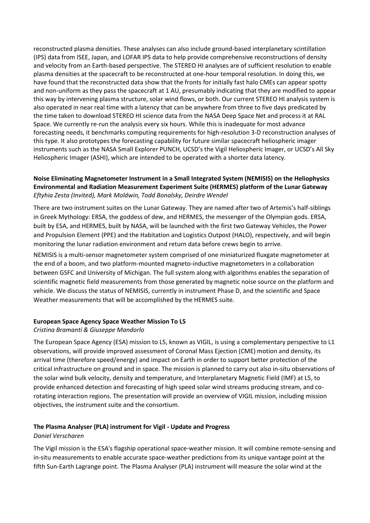reconstructed plasma densities. These analyses can also include ground-based interplanetary scintillation (IPS) data from ISEE, Japan, and LOFAR IPS data to help provide comprehensive reconstructions of density and velocity from an Earth-based perspective. The STEREO HI analyses are of sufficient resolution to enable plasma densities at the spacecraft to be reconstructed at one-hour temporal resolution. In doing this, we have found that the reconstructed data show that the fronts for initially fast halo CMEs can appear spotty and non-uniform as they pass the spacecraft at 1 AU, presumably indicating that they are modified to appear this way by intervening plasma structure, solar wind flows, or both. Our current STEREO HI analysis system is also operated in near real time with a latency that can be anywhere from three to five days predicated by the time taken to download STEREO HI science data from the NASA Deep Space Net and process it at RAL Space. We currently re-run the analysis every six hours. While this is inadequate for most advance forecasting needs, it benchmarks computing requirements for high-resolution 3-D reconstruction analyses of this type. It also prototypes the forecasting capability for future similar spacecraft heliospheric imager instruments such as the NASA Small Explorer PUNCH, UCSD's the Vigil Heliospheric Imager, or UCSD's All Sky Heliospheric Imager (ASHI), which are intended to be operated with a shorter data latency.

## **Noise Eliminating Magnetometer Instrument in a Small Integrated System (NEMISIS) on the Heliophysics Environmental and Radiation Measurement Experiment Suite (HERMES) platform of the Lunar Gateway** *Eftyhia Zesta (Invited), Mark Moldwin, Todd Bonalsky, Deirdre Wendel*

There are two instrument suites on the Lunar Gateway. They are named after two of Artemis's half-siblings in Greek Mythology: ERSA, the goddess of dew, and HERMES, the messenger of the Olympian gods. ERSA, built by ESA, and HERMES, built by NASA, will be launched with the first two Gateway Vehicles, the Power and Propulsion Element (PPE) and the Habitation and Logistics Outpost (HALO), respectively, and will begin monitoring the lunar radiation environment and return data before crews begin to arrive.

NEMISIS is a multi-sensor magnetometer system comprised of one miniaturized fluxgate magnetometer at the end of a boom, and two platform-mounted magneto-inductive magnetometers in a collaboration between GSFC and University of Michigan. The full system along with algorithms enables the separation of scientific magnetic field measurements from those generated by magnetic noise source on the platform and vehicle. We discuss the status of NEMISIS, currently in instrument Phase D, and the scientific and Space Weather measurements that will be accomplished by the HERMES suite.

#### **European Space Agency Space Weather Mission To L5**

## *Cristina Bramanti & Giuseppe Mandorlo*

The European Space Agency (ESA) mission to L5, known as VIGIL, is using a complementary perspective to L1 observations, will provide improved assessment of Coronal Mass Ejection (CME) motion and density, its arrival time (therefore speed/energy) and impact on Earth in order to support better protection of the critical infrastructure on ground and in space. The mission is planned to carry out also in-situ observations of the solar wind bulk velocity, density and temperature, and Interplanetary Magnetic Field (IMF) at L5, to provide enhanced detection and forecasting of high speed solar wind streams producing stream, and corotating interaction regions. The presentation will provide an overview of VIGIL mission, including mission objectives, the instrument suite and the consortium.

## **The Plasma Analyser (PLA) instrument for Vigil - Update and Progress**

#### *Daniel Verscharen*

The Vigil mission is the ESA's flagship operational space-weather mission. It will combine remote-sensing and in-situ measurements to enable accurate space-weather predictions from its unique vantage point at the fifth Sun-Earth Lagrange point. The Plasma Analyser (PLA) instrument will measure the solar wind at the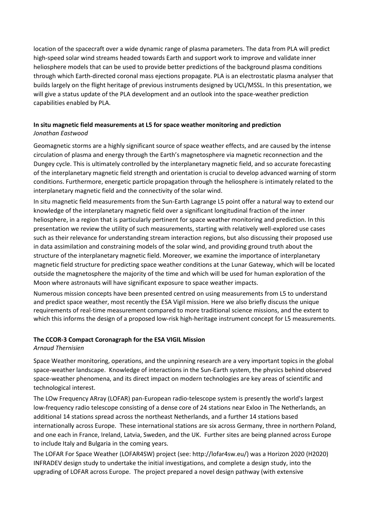location of the spacecraft over a wide dynamic range of plasma parameters. The data from PLA will predict high-speed solar wind streams headed towards Earth and support work to improve and validate inner heliosphere models that can be used to provide better predictions of the background plasma conditions through which Earth-directed coronal mass ejections propagate. PLA is an electrostatic plasma analyser that builds largely on the flight heritage of previous instruments designed by UCL/MSSL. In this presentation, we will give a status update of the PLA development and an outlook into the space-weather prediction capabilities enabled by PLA.

## **In situ magnetic field measurements at L5 for space weather monitoring and prediction** *Jonathan Eastwood*

Geomagnetic storms are a highly significant source of space weather effects, and are caused by the intense circulation of plasma and energy through the Earth's magnetosphere via magnetic reconnection and the Dungey cycle. This is ultimately controlled by the interplanetary magnetic field, and so accurate forecasting of the interplanetary magnetic field strength and orientation is crucial to develop advanced warning of storm conditions. Furthermore, energetic particle propagation through the heliosphere is intimately related to the interplanetary magnetic field and the connectivity of the solar wind.

In situ magnetic field measurements from the Sun-Earth Lagrange L5 point offer a natural way to extend our knowledge of the interplanetary magnetic field over a significant longitudinal fraction of the inner heliosphere, in a region that is particularly pertinent for space weather monitoring and prediction. In this presentation we review the utility of such measurements, starting with relatively well-explored use cases such as their relevance for understanding stream interaction regions, but also discussing their proposed use in data assimilation and constraining models of the solar wind, and providing ground truth about the structure of the interplanetary magnetic field. Moreover, we examine the importance of interplanetary magnetic field structure for predicting space weather conditions at the Lunar Gateway, which will be located outside the magnetosphere the majority of the time and which will be used for human exploration of the Moon where astronauts will have significant exposure to space weather impacts.

Numerous mission concepts have been presented centred on using measurements from L5 to understand and predict space weather, most recently the ESA Vigil mission. Here we also briefly discuss the unique requirements of real-time measurement compared to more traditional science missions, and the extent to which this informs the design of a proposed low-risk high-heritage instrument concept for L5 measurements.

## **The CCOR-3 Compact Coronagraph for the ESA VIGIL Mission**

*Arnaud Thernisien*

Space Weather monitoring, operations, and the unpinning research are a very important topics in the global space-weather landscape. Knowledge of interactions in the Sun-Earth system, the physics behind observed space-weather phenomena, and its direct impact on modern technologies are key areas of scientific and technological interest.

The LOw Frequency ARray (LOFAR) pan-European radio-telescope system is presently the world's largest low-frequency radio telescope consisting of a dense core of 24 stations near Exloo in The Netherlands, an additional 14 stations spread across the northeast Netherlands, and a further 14 stations based internationally across Europe. These international stations are six across Germany, three in northern Poland, and one each in France, Ireland, Latvia, Sweden, and the UK. Further sites are being planned across Europe to include Italy and Bulgaria in the coming years.

The LOFAR For Space Weather (LOFAR4SW) project (see: http://lofar4sw.eu/) was a Horizon 2020 (H2020) INFRADEV design study to undertake the initial investigations, and complete a design study, into the upgrading of LOFAR across Europe. The project prepared a novel design pathway (with extensive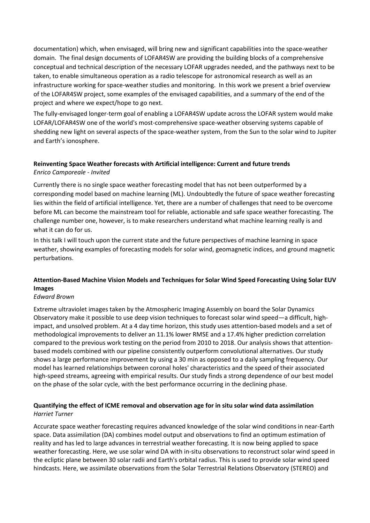documentation) which, when envisaged, will bring new and significant capabilities into the space-weather domain. The final design documents of LOFAR4SW are providing the building blocks of a comprehensive conceptual and technical description of the necessary LOFAR upgrades needed, and the pathways next to be taken, to enable simultaneous operation as a radio telescope for astronomical research as well as an infrastructure working for space-weather studies and monitoring. In this work we present a brief overview of the LOFAR4SW project, some examples of the envisaged capabilities, and a summary of the end of the project and where we expect/hope to go next.

The fully-envisaged longer-term goal of enabling a LOFAR4SW update across the LOFAR system would make LOFAR/LOFAR4SW one of the world's most-comprehensive space-weather observing systems capable of shedding new light on several aspects of the space-weather system, from the Sun to the solar wind to Jupiter and Earth's ionosphere.

## **Reinventing Space Weather forecasts with Artificial intelligence: Current and future trends** *Enrico Camporeale - Invited*

Currently there is no single space weather forecasting model that has not been outperformed by a corresponding model based on machine learning (ML). Undoubtedly the future of space weather forecasting lies within the field of artificial intelligence. Yet, there are a number of challenges that need to be overcome before ML can become the mainstream tool for reliable, actionable and safe space weather forecasting. The challenge number one, however, is to make researchers understand what machine learning really is and what it can do for us.

In this talk I will touch upon the current state and the future perspectives of machine learning in space weather, showing examples of forecasting models for solar wind, geomagnetic indices, and ground magnetic perturbations.

## **Attention-Based Machine Vision Models and Techniques for Solar Wind Speed Forecasting Using Solar EUV Images**

## *Edward Brown*

Extreme ultraviolet images taken by the Atmospheric Imaging Assembly on board the Solar Dynamics Observatory make it possible to use deep vision techniques to forecast solar wind speed—a difficult, highimpact, and unsolved problem. At a 4 day time horizon, this study uses attention-based models and a set of methodological improvements to deliver an 11.1% lower RMSE and a 17.4% higher prediction correlation compared to the previous work testing on the period from 2010 to 2018. Our analysis shows that attentionbased models combined with our pipeline consistently outperform convolutional alternatives. Our study shows a large performance improvement by using a 30 min as opposed to a daily sampling frequency. Our model has learned relationships between coronal holes' characteristics and the speed of their associated high-speed streams, agreeing with empirical results. Our study finds a strong dependence of our best model on the phase of the solar cycle, with the best performance occurring in the declining phase.

## **Quantifying the effect of ICME removal and observation age for in situ solar wind data assimilation** *Harriet Turner*

Accurate space weather forecasting requires advanced knowledge of the solar wind conditions in near-Earth space. Data assimilation (DA) combines model output and observations to find an optimum estimation of reality and has led to large advances in terrestrial weather forecasting. It is now being applied to space weather forecasting. Here, we use solar wind DA with in-situ observations to reconstruct solar wind speed in the ecliptic plane between 30 solar radii and Earth's orbital radius. This is used to provide solar wind speed hindcasts. Here, we assimilate observations from the Solar Terrestrial Relations Observatory (STEREO) and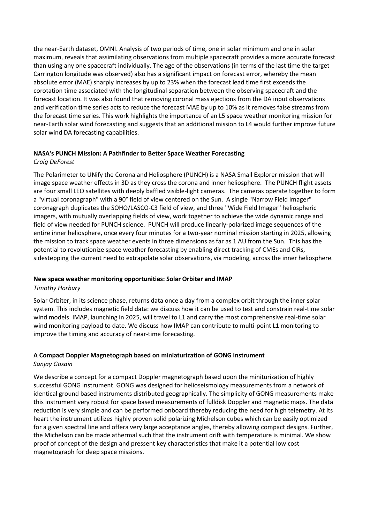the near-Earth dataset, OMNI. Analysis of two periods of time, one in solar minimum and one in solar maximum, reveals that assimilating observations from multiple spacecraft provides a more accurate forecast than using any one spacecraft individually. The age of the observations (in terms of the last time the target Carrington longitude was observed) also has a significant impact on forecast error, whereby the mean absolute error (MAE) sharply increases by up to 23% when the forecast lead time first exceeds the corotation time associated with the longitudinal separation between the observing spacecraft and the forecast location. It was also found that removing coronal mass ejections from the DA input observations and verification time series acts to reduce the forecast MAE by up to 10% as it removes false streams from the forecast time series. This work highlights the importance of an L5 space weather monitoring mission for near-Earth solar wind forecasting and suggests that an additional mission to L4 would further improve future solar wind DA forecasting capabilities.

#### **NASA's PUNCH Mission: A Pathfinder to Better Space Weather Forecasting**

#### *Craig DeForest*

The Polarimeter to UNify the Corona and Heliosphere (PUNCH) is a NASA Small Explorer mission that will image space weather effects in 3D as they cross the corona and inner heliosphere. The PUNCH flight assets are four small LEO satellites with deeply baffled visible-light cameras. The cameras operate together to form a "virtual coronagraph" with a 90° field of view centered on the Sun. A single "Narrow Field Imager" coronagraph duplicates the SOHO/LASCO-C3 field of view, and three "Wide Field Imager" heliospheric imagers, with mutually overlapping fields of view, work together to achieve the wide dynamic range and field of view needed for PUNCH science. PUNCH will produce linearly-polarized image sequences of the entire inner heliosphere, once every four minutes for a two-year nominal mission starting in 2025, allowing the mission to track space weather events in three dimensions as far as 1 AU from the Sun. This has the potential to revolutionize space weather forecasting by enabling direct tracking of CMEs and CIRs, sidestepping the current need to extrapolate solar observations, via modeling, across the inner heliosphere.

#### **New space weather monitoring opportunities: Solar Orbiter and IMAP**

#### *Timothy Horbury*

Solar Orbiter, in its science phase, returns data once a day from a complex orbit through the inner solar system. This includes magnetic field data: we discuss how it can be used to test and constrain real-time solar wind models. IMAP, launching in 2025, will travel to L1 and carry the most comprehensive real-time solar wind monitoring payload to date. We discuss how IMAP can contribute to multi-point L1 monitoring to improve the timing and accuracy of near-time forecasting.

## **A Compact Doppler Magnetograph based on miniaturization of GONG instrument**

#### *Sanjay Gosain*

We describe a concept for a compact Doppler magnetograph based upon the miniturization of highly successful GONG instrument. GONG was designed for helioseismology measurements from a network of identical ground based instruments distributed geographically. The simplicity of GONG measurements make this instrument very robust for space based measurements of fulldisk Doppler and magnetic maps. The data reduction is very simple and can be performed onboard thereby reducing the need for high telemetry. At its heart the instrument utilizes highly proven solid polarizing Michelson cubes which can be easily optimized for a given spectral line and offera very large acceptance angles, thereby allowing compact designs. Further, the Michelson can be made athermal such that the instrument drift with temperature is minimal. We show proof of concept of the design and pressent key characteristics that make it a potential low cost magnetograph for deep space missions.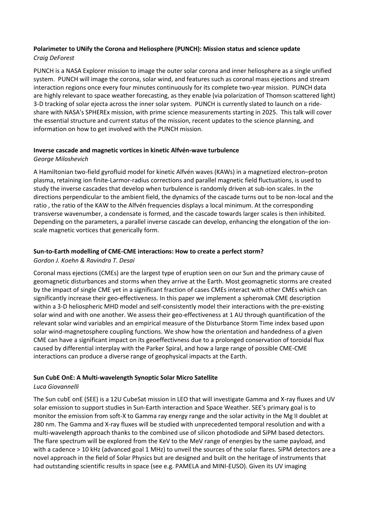## **Polarimeter to UNify the Corona and Heliosphere (PUNCH): Mission status and science update**  *Craig DeForest*

PUNCH is a NASA Explorer mission to image the outer solar corona and inner heliosphere as a single unified system. PUNCH will image the corona, solar wind, and features such as coronal mass ejections and stream interaction regions once every four minutes continuously for its complete two-year mission. PUNCH data are highly relevant to space weather forecasting, as they enable (via polarization of Thomson scattered light) 3-D tracking of solar ejecta across the inner solar system. PUNCH is currently slated to launch on a rideshare with NASA's SPHEREx mission, with prime science measurements starting in 2025. This talk will cover the essential structure and current status of the mission, recent updates to the science planning, and information on how to get involved with the PUNCH mission.

#### **Inverse cascade and magnetic vortices in kinetic Alfvén-wave turbulence**

#### *George Miloshevich*

A Hamiltonian two-field gyrofluid model for kinetic Alfvén waves (KAWs) in a magnetized electron–proton plasma, retaining ion finite-Larmor-radius corrections and parallel magnetic field fluctuations, is used to study the inverse cascades that develop when turbulence is randomly driven at sub-ion scales. In the directions perpendicular to the ambient field, the dynamics of the cascade turns out to be non-local and the ratio , the ratio of the KAW to the Alfvén frequencies displays a local minimum. At the corresponding transverse wavenumber, a condensate is formed, and the cascade towards larger scales is then inhibited. Depending on the parameters, a parallel inverse cascade can develop, enhancing the elongation of the ionscale magnetic vortices that generically form.

## **Sun-to-Earth modelling of CME-CME interactions: How to create a perfect storm?**

#### *Gordon J. Koehn & Ravindra T. Desai*

Coronal mass ejections (CMEs) are the largest type of eruption seen on our Sun and the primary cause of geomagnetic disturbances and storms when they arrive at the Earth. Most geomagnetic storms are created by the impact of single CME yet in a significant fraction of cases CMEs interact with other CMEs which can significantly increase their geo-effectiveness. In this paper we implement a spheromak CME description within a 3-D heliospheric MHD model and self-consistently model their interactions with the pre-existing solar wind and with one another. We assess their geo-effectiveness at 1 AU through quantification of the relevant solar wind variables and an empirical measure of the Disturbance Storm Time index based upon solar wind-magnetosphere coupling functions. We show how the orientation and handedness of a given CME can have a significant impact on its geoeffectivness due to a prolonged conservation of toroidal flux caused by differential interplay with the Parker Spiral, and how a large range of possible CME-CME interactions can produce a diverse range of geophysical impacts at the Earth.

## **Sun CubE OnE: A Multi-wavelength Synoptic Solar Micro Satellite**

## *Luca Giovannelli*

The Sun cubE onE (SEE) is a 12U CubeSat mission in LEO that will investigate Gamma and X-ray fluxes and UV solar emission to support studies in Sun-Earth interaction and Space Weather. SEE's primary goal is to monitor the emission from soft-X to Gamma ray energy range and the solar activity in the Mg II doublet at 280 nm. The Gamma and X-ray fluxes will be studied with unprecedented temporal resolution and with a multi-wavelength approach thanks to the combined use of silicon photodiode and SiPM based detectors. The flare spectrum will be explored from the KeV to the MeV range of energies by the same payload, and with a cadence > 10 kHz (advanced goal 1 MHz) to unveil the sources of the solar flares. SiPM detectors are a novel approach in the field of Solar Physics but are designed and built on the heritage of instruments that had outstanding scientific results in space (see e.g. PAMELA and MINI-EUSO). Given its UV imaging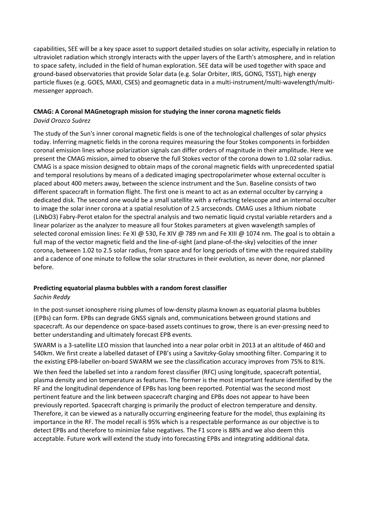capabilities, SEE will be a key space asset to support detailed studies on solar activity, especially in relation to ultraviolet radiation which strongly interacts with the upper layers of the Earth's atmosphere, and in relation to space safety, included in the field of human exploration. SEE data will be used together with space and ground-based observatories that provide Solar data (e.g. Solar Orbiter, IRIS, GONG, TSST), high energy particle fluxes (e.g. GOES, MAXI, CSES) and geomagnetic data in a multi-instrument/multi-wavelength/multimessenger approach.

# **CMAG: A Coronal MAGnetograph mission for studying the inner corona magnetic fields**

## *David Orozco Suárez*

The study of the Sun's inner coronal magnetic fields is one of the technological challenges of solar physics today. Inferring magnetic fields in the corona requires measuring the four Stokes components in forbidden coronal emission lines whose polarization signals can differ orders of magnitude in their amplitude. Here we present the CMAG mission, aimed to observe the full Stokes vector of the corona down to 1.02 solar radius. CMAG is a space mission designed to obtain maps of the coronal magnetic fields with unprecedented spatial and temporal resolutions by means of a dedicated imaging spectropolarimeter whose external occulter is placed about 400 meters away, between the science instrument and the Sun. Baseline consists of two different spacecraft in formation flight. The first one is meant to act as an external occulter by carrying a dedicated disk. The second one would be a small satellite with a refracting telescope and an internal occulter to image the solar inner corona at a spatial resolution of 2.5 arcseconds. CMAG uses a lithium niobate (LiNbO3) Fabry-Perot etalon for the spectral analysis and two nematic liquid crystal variable retarders and a linear polarizer as the analyzer to measure all four Stokes parameters at given wavelength samples of selected coronal emission lines: Fe XI @ 530, Fe XIV @ 789 nm and Fe XIII @ 1074 nm. The goal is to obtain a full map of the vector magnetic field and the line-of-sight (and plane-of-the-sky) velocities of the inner corona, between 1.02 to 2.5 solar radius, from space and for long periods of time with the required stability and a cadence of one minute to follow the solar structures in their evolution, as never done, nor planned before.

## **Predicting equatorial plasma bubbles with a random forest classifier**

## *Sachin Reddy*

In the post-sunset ionosphere rising plumes of low-density plasma known as equatorial plasma bubbles (EPBs) can form. EPBs can degrade GNSS signals and, communications between ground stations and spacecraft. As our dependence on space-based assets continues to grow, there is an ever-pressing need to better understanding and ultimately forecast EPB events.

SWARM is a 3-satellite LEO mission that launched into a near polar orbit in 2013 at an altitude of 460 and 540km. We first create a labelled dataset of EPB's using a Savitzky-Golay smoothing filter. Comparing it to the existing EPB-labeller on-board SWARM we see the classification accuracy improves from 75% to 81%. We then feed the labelled set into a random forest classifier (RFC) using longitude, spacecraft potential, plasma density and ion temperature as features. The former is the most important feature identified by the RF and the longitudinal dependence of EPBs has long been reported. Potential was the second most pertinent feature and the link between spacecraft charging and EPBs does not appear to have been previously reported. Spacecraft charging is primarily the product of electron temperature and density. Therefore, it can be viewed as a naturally occurring engineering feature for the model, thus explaining its importance in the RF. The model recall is 95% which is a respectable performance as our objective is to detect EPBs and therefore to minimize false negatives. The F1 score is 88% and we also deem this acceptable. Future work will extend the study into forecasting EPBs and integrating additional data.